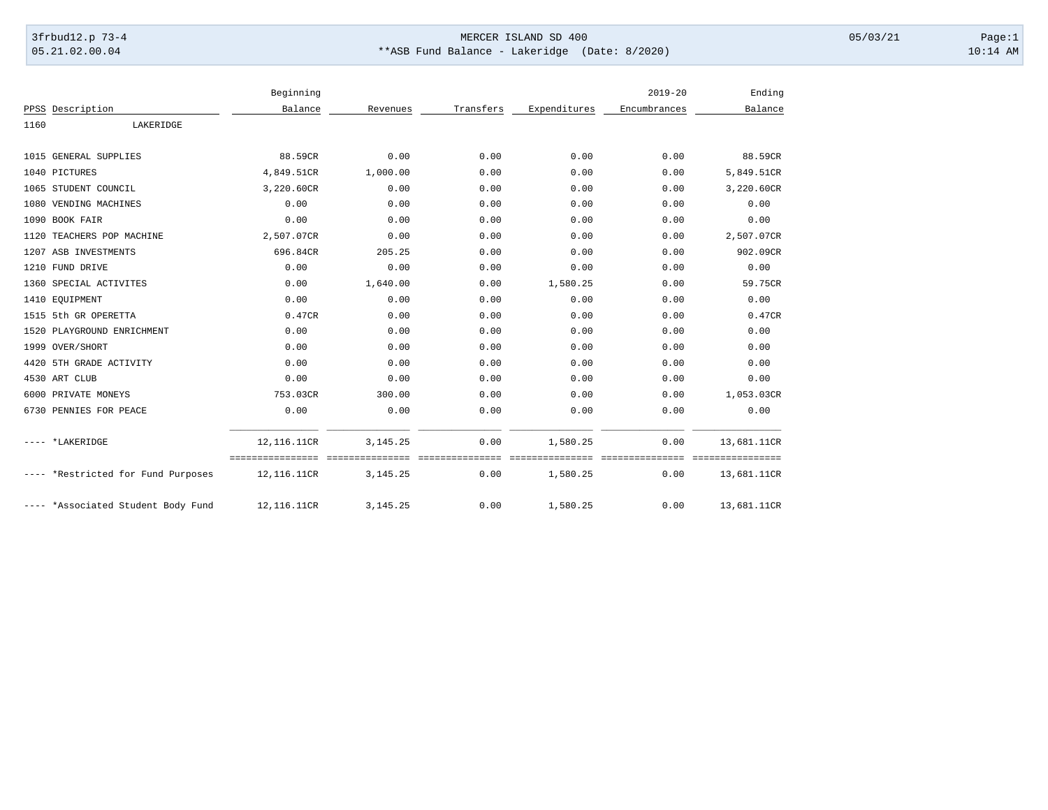## 3frbud12.p 73-4 Page:1 Page:1 05.21.02.00.04 \*\*ASB Fund Balance - Lakeridge (Date: 8/2020) 10:14 AM

|      |                                    | Beginning                                         |            |                          |                             | $2019 - 20$              | Ending                          |
|------|------------------------------------|---------------------------------------------------|------------|--------------------------|-----------------------------|--------------------------|---------------------------------|
|      | PPSS Description                   | Balance                                           | Revenues   | Transfers                | Expenditures                | Encumbrances             | Balance                         |
| 1160 | LAKERIDGE                          |                                                   |            |                          |                             |                          |                                 |
|      | 1015 GENERAL SUPPLIES              | 88.59CR                                           | 0.00       | 0.00                     | 0.00                        | 0.00                     | 88.59CR                         |
|      | 1040 PICTURES                      | 4,849.51CR                                        | 1,000.00   | 0.00                     | 0.00                        | 0.00                     | 5,849.51CR                      |
|      | 1065 STUDENT COUNCIL               | 3,220.60CR                                        | 0.00       | 0.00                     | 0.00                        | 0.00                     | 3,220.60CR                      |
|      | 1080 VENDING MACHINES              | 0.00                                              | 0.00       | 0.00                     | 0.00                        | 0.00                     | 0.00                            |
|      | 1090 BOOK FAIR                     | 0.00                                              | 0.00       | 0.00                     | 0.00                        | 0.00                     | 0.00                            |
|      | 1120 TEACHERS POP MACHINE          | 2,507.07CR                                        | 0.00       | 0.00                     | 0.00                        | 0.00                     | 2,507.07CR                      |
|      | 1207 ASB INVESTMENTS               | 696.84CR                                          | 205.25     | 0.00                     | 0.00                        | 0.00                     | 902.09CR                        |
|      | 1210 FUND DRIVE                    | 0.00                                              | 0.00       | 0.00                     | 0.00                        | 0.00                     | 0.00                            |
|      | 1360 SPECIAL ACTIVITES             | 0.00                                              | 1,640.00   | 0.00                     | 1,580.25                    | 0.00                     | 59.75CR                         |
|      | 1410 EQUIPMENT                     | 0.00                                              | 0.00       | 0.00                     | 0.00                        | 0.00                     | 0.00                            |
|      | 1515 5th GR OPERETTA               | 0.47CR                                            | 0.00       | 0.00                     | 0.00                        | 0.00                     | 0.47CR                          |
|      | 1520 PLAYGROUND ENRICHMENT         | 0.00                                              | 0.00       | 0.00                     | 0.00                        | 0.00                     | 0.00                            |
|      | 1999 OVER/SHORT                    | 0.00                                              | 0.00       | 0.00                     | 0.00                        | 0.00                     | 0.00                            |
|      | 4420 5TH GRADE ACTIVITY            | 0.00                                              | 0.00       | 0.00                     | 0.00                        | 0.00                     | 0.00                            |
|      | 4530 ART CLUB                      | 0.00                                              | 0.00       | 0.00                     | 0.00                        | 0.00                     | 0.00                            |
|      | 6000 PRIVATE MONEYS                | 753.03CR                                          | 300.00     | 0.00                     | 0.00                        | 0.00                     | 1,053.03CR                      |
|      | 6730 PENNIES FOR PEACE             | 0.00                                              | 0.00       | 0.00                     | 0.00                        | 0.00                     | 0.00                            |
|      | *LAKERIDGE                         | 12,116.11CR                                       | 3, 145. 25 | 0.00                     | 1,580.25                    | 0.00                     | 13,681.11CR                     |
|      | ---- *Restricted for Fund Purposes | ==================================<br>12,116.11CR | 3, 145. 25 | ----------------<br>0.00 | ===============<br>1,580.25 | ----------------<br>0.00 | ================<br>13,681.11CR |
|      | ---- *Associated Student Body Fund | 12,116.11CR                                       | 3, 145. 25 | 0.00                     | 1,580.25                    | 0.00                     | 13,681.11CR                     |